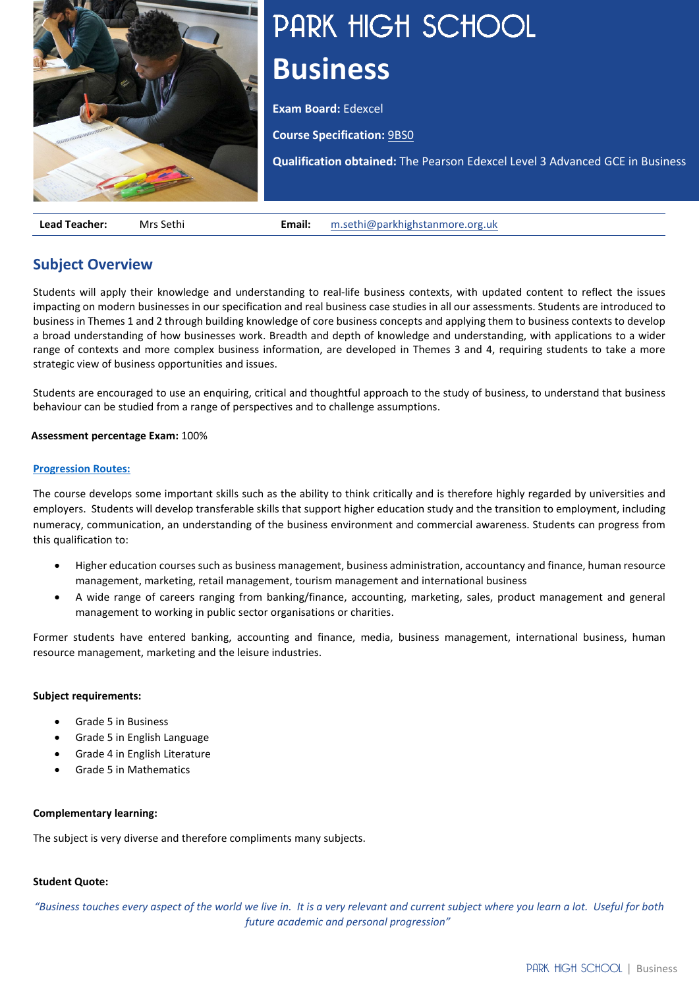

# PARK HIGH SCHOOL **Business**

**Exam Board:** Edexcel

**Course Specification:** [9BS0](https://qualifications.pearson.com/content/dam/pdf/A%20Level/Business%20Studies/2015/specification-and-sample-assessment-materials/9781446914694_GCE2015_A_BUS_WEB.PDF)

**Qualification obtained:** The Pearson Edexcel Level 3 Advanced GCE in Business

**Lead Teacher:** Mrs Sethi **Email:** [m.sethi@parkhighstanmore.org.uk](mailto:m.sethi@parkhighstanmore.org.uk)

# **Subject Overview**

Students will apply their knowledge and understanding to real-life business contexts, with updated content to reflect the issues impacting on modern businesses in our specification and real business case studies in all our assessments. Students are introduced to business in Themes 1 and 2 through building knowledge of core business concepts and applying them to business contexts to develop a broad understanding of how businesses work. Breadth and depth of knowledge and understanding, with applications to a wider range of contexts and more complex business information, are developed in Themes 3 and 4, requiring students to take a more strategic view of business opportunities and issues.

Students are encouraged to use an enquiring, critical and thoughtful approach to the study of business, to understand that business behaviour can be studied from a range of perspectives and to challenge assumptions.

## **Assessment percentage Exam:** 100%

## **[Progression Routes:](https://www.parkhighstanmore.org.uk/careersandemploaybility/studentresources)**

The course develops some important skills such as the ability to think critically and is therefore highly regarded by universities and employers. Students will develop transferable skills that support higher education study and the transition to employment, including numeracy, communication, an understanding of the business environment and commercial awareness. Students can progress from this qualification to:

- Higher education courses such as business management, business administration, accountancy and finance, human resource management, marketing, retail management, tourism management and international business
- A wide range of careers ranging from banking/finance, accounting, marketing, sales, product management and general management to working in public sector organisations or charities.

Former students have entered banking, accounting and finance, media, business management, international business, human resource management, marketing and the leisure industries. 

## **Subject requirements:**

- Grade 5 in Business
- Grade 5 in English Language
- Grade 4 in English Literature
- Grade 5 in Mathematics

## **Complementary learning:**

The subject is very diverse and therefore compliments many subjects.

## **Student Quote:**

*"Business touches every aspect of the world we live in.  It is a very relevant and current subject where you learn a lot.  Useful for both future academic and personal progression"*